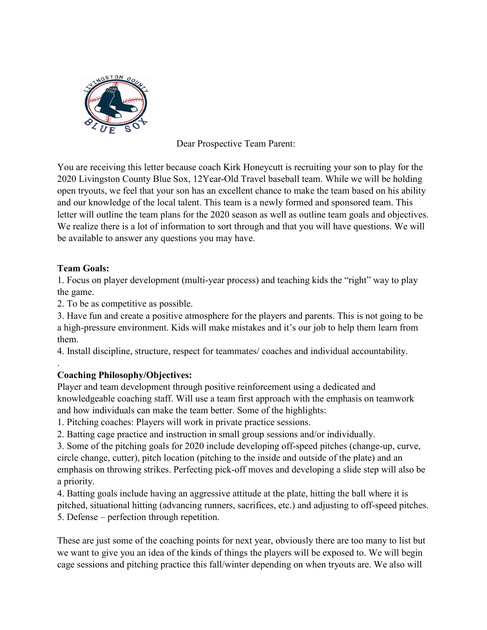

Dear Prospective Team Parent:

You are receiving this letter because coach Kirk Honeycutt is recruiting your son to play for the 2020 Livingston County Blue Sox, 12Year-Old Travel baseball team. While we will be holding open tryouts, we feel that your son has an excellent chance to make the team based on his ability and our knowledge of the local talent. This team is a newly formed and sponsored team. This letter will outline the team plans for the 2020 season as well as outline team goals and objectives. We realize there is a lot of information to sort through and that you will have questions. We will be available to answer any questions you may have.

## **Team Goals:**

.

1. Focus on player development (multi-year process) and teaching kids the "right" way to play the game.

2. To be as competitive as possible.

3. Have fun and create a positive atmosphere for the players and parents. This is not going to be a high-pressure environment. Kids will make mistakes and it's our job to help them learn from them.

4. Install discipline, structure, respect for teammates/ coaches and individual accountability.

# **Coaching Philosophy/Objectives:**

Player and team development through positive reinforcement using a dedicated and knowledgeable coaching staff. Will use a team first approach with the emphasis on teamwork and how individuals can make the team better. Some of the highlights:

1. Pitching coaches: Players will work in private practice sessions.

2. Batting cage practice and instruction in small group sessions and/or individually.

3. Some of the pitching goals for 2020 include developing off-speed pitches (change-up, curve, circle change, cutter), pitch location (pitching to the inside and outside of the plate) and an emphasis on throwing strikes. Perfecting pick-off moves and developing a slide step will also be a priority.

4. Batting goals include having an aggressive attitude at the plate, hitting the ball where it is pitched, situational hitting (advancing runners, sacrifices, etc.) and adjusting to off-speed pitches. 5. Defense – perfection through repetition.

These are just some of the coaching points for next year, obviously there are too many to list but we want to give you an idea of the kinds of things the players will be exposed to. We will begin cage sessions and pitching practice this fall/winter depending on when tryouts are. We also will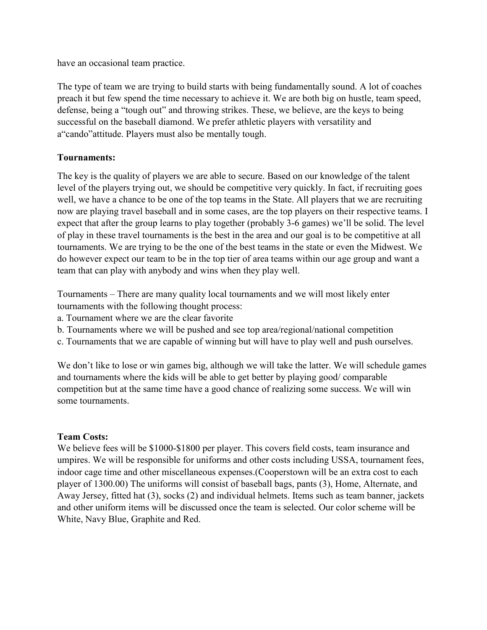have an occasional team practice.

The type of team we are trying to build starts with being fundamentally sound. A lot of coaches preach it but few spend the time necessary to achieve it. We are both big on hustle, team speed, defense, being a "tough out" and throwing strikes. These, we believe, are the keys to being successful on the baseball diamond. We prefer athletic players with versatility and a"cando"attitude. Players must also be mentally tough.

### **Tournaments:**

The key is the quality of players we are able to secure. Based on our knowledge of the talent level of the players trying out, we should be competitive very quickly. In fact, if recruiting goes well, we have a chance to be one of the top teams in the State. All players that we are recruiting now are playing travel baseball and in some cases, are the top players on their respective teams. I expect that after the group learns to play together (probably 3-6 games) we'll be solid. The level of play in these travel tournaments is the best in the area and our goal is to be competitive at all tournaments. We are trying to be the one of the best teams in the state or even the Midwest. We do however expect our team to be in the top tier of area teams within our age group and want a team that can play with anybody and wins when they play well.

Tournaments – There are many quality local tournaments and we will most likely enter tournaments with the following thought process:

- a. Tournament where we are the clear favorite
- b. Tournaments where we will be pushed and see top area/regional/national competition
- c. Tournaments that we are capable of winning but will have to play well and push ourselves.

We don't like to lose or win games big, although we will take the latter. We will schedule games and tournaments where the kids will be able to get better by playing good/ comparable competition but at the same time have a good chance of realizing some success. We will win some tournaments.

#### **Team Costs:**

We believe fees will be \$1000-\$1800 per player. This covers field costs, team insurance and umpires. We will be responsible for uniforms and other costs including USSA, tournament fees, indoor cage time and other miscellaneous expenses.(Cooperstown will be an extra cost to each player of 1300.00) The uniforms will consist of baseball bags, pants (3), Home, Alternate, and Away Jersey, fitted hat (3), socks (2) and individual helmets. Items such as team banner, jackets and other uniform items will be discussed once the team is selected. Our color scheme will be White, Navy Blue, Graphite and Red.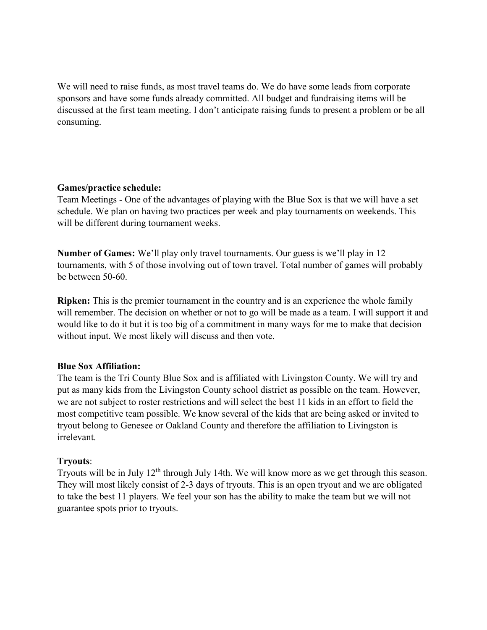We will need to raise funds, as most travel teams do. We do have some leads from corporate sponsors and have some funds already committed. All budget and fundraising items will be discussed at the first team meeting. I don't anticipate raising funds to present a problem or be all consuming.

#### **Games/practice schedule:**

Team Meetings - One of the advantages of playing with the Blue Sox is that we will have a set schedule. We plan on having two practices per week and play tournaments on weekends. This will be different during tournament weeks.

**Number of Games:** We'll play only travel tournaments. Our guess is we'll play in 12 tournaments, with 5 of those involving out of town travel. Total number of games will probably be between 50-60.

**Ripken:** This is the premier tournament in the country and is an experience the whole family will remember. The decision on whether or not to go will be made as a team. I will support it and would like to do it but it is too big of a commitment in many ways for me to make that decision without input. We most likely will discuss and then vote.

## **Blue Sox Affiliation:**

The team is the Tri County Blue Sox and is affiliated with Livingston County. We will try and put as many kids from the Livingston County school district as possible on the team. However, we are not subject to roster restrictions and will select the best 11 kids in an effort to field the most competitive team possible. We know several of the kids that are being asked or invited to tryout belong to Genesee or Oakland County and therefore the affiliation to Livingston is irrelevant.

## **Tryouts**:

Tryouts will be in July 12th through July 14th. We will know more as we get through this season. They will most likely consist of 2-3 days of tryouts. This is an open tryout and we are obligated to take the best 11 players. We feel your son has the ability to make the team but we will not guarantee spots prior to tryouts.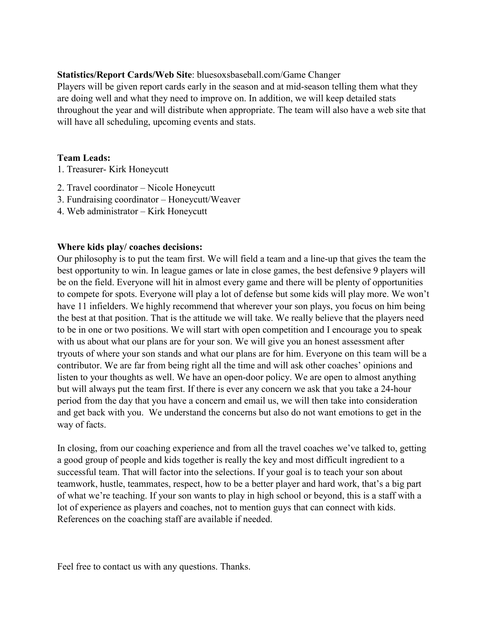**Statistics/Report Cards/Web Site**: bluesoxsbaseball.com/Game Changer

Players will be given report cards early in the season and at mid-season telling them what they are doing well and what they need to improve on. In addition, we will keep detailed stats throughout the year and will distribute when appropriate. The team will also have a web site that will have all scheduling, upcoming events and stats.

#### **Team Leads:**

- 1. Treasurer- Kirk Honeycutt
- 2. Travel coordinator Nicole Honeycutt
- 3. Fundraising coordinator Honeycutt/Weaver
- 4. Web administrator Kirk Honeycutt

### **Where kids play/ coaches decisions:**

Our philosophy is to put the team first. We will field a team and a line-up that gives the team the best opportunity to win. In league games or late in close games, the best defensive 9 players will be on the field. Everyone will hit in almost every game and there will be plenty of opportunities to compete for spots. Everyone will play a lot of defense but some kids will play more. We won't have 11 infielders. We highly recommend that wherever your son plays, you focus on him being the best at that position. That is the attitude we will take. We really believe that the players need to be in one or two positions. We will start with open competition and I encourage you to speak with us about what our plans are for your son. We will give you an honest assessment after tryouts of where your son stands and what our plans are for him. Everyone on this team will be a contributor. We are far from being right all the time and will ask other coaches' opinions and listen to your thoughts as well. We have an open-door policy. We are open to almost anything but will always put the team first. If there is ever any concern we ask that you take a 24-hour period from the day that you have a concern and email us, we will then take into consideration and get back with you. We understand the concerns but also do not want emotions to get in the way of facts.

In closing, from our coaching experience and from all the travel coaches we've talked to, getting a good group of people and kids together is really the key and most difficult ingredient to a successful team. That will factor into the selections. If your goal is to teach your son about teamwork, hustle, teammates, respect, how to be a better player and hard work, that's a big part of what we're teaching. If your son wants to play in high school or beyond, this is a staff with a lot of experience as players and coaches, not to mention guys that can connect with kids. References on the coaching staff are available if needed.

Feel free to contact us with any questions. Thanks.